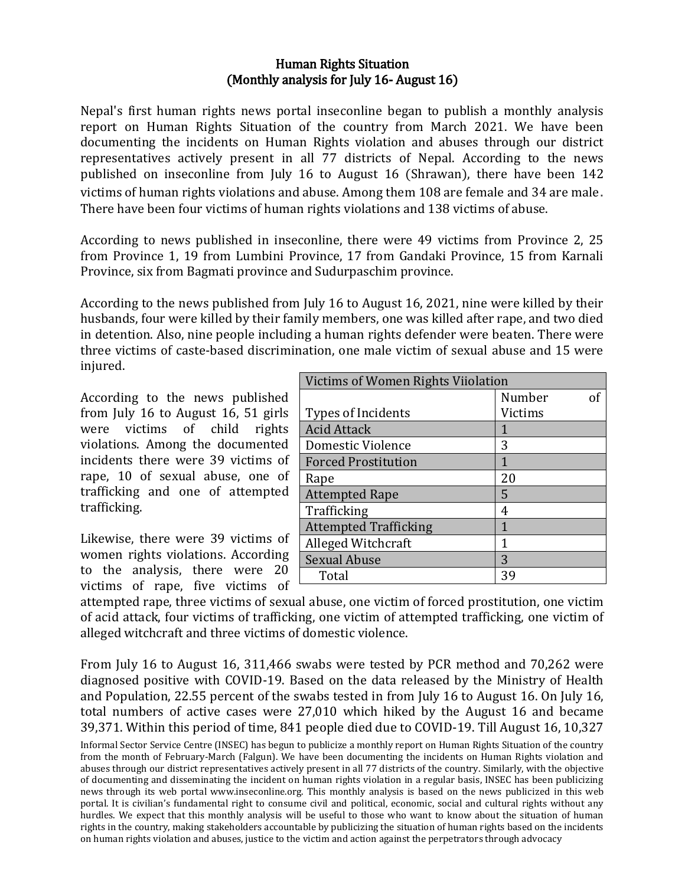## Human Rights Situation (Monthly analysis for July 16- August 16)

Nepal's first human rights news portal inseconline began to publish a monthly analysis report on Human Rights Situation of the country from March 2021. We have been documenting the incidents on Human Rights violation and abuses through our district representatives actively present in all 77 districts of Nepal. According to the news published on inseconline from July 16 to August 16 (Shrawan), there have been 142 victims of human rights violations and abuse. Among them 108 are female and 34 are male. There have been four victims of human rights violations and 138 victims of abuse.

According to news published in inseconline, there were 49 victims from Province 2, 25 from Province 1, 19 from Lumbini Province, 17 from Gandaki Province, 15 from Karnali Province, six from Bagmati province and Sudurpaschim province.

According to the news published from July 16 to August 16, 2021, nine were killed by their husbands, four were killed by their family members, one was killed after rape, and two died in detention. Also, nine people including a human rights defender were beaten. There were three victims of caste-based discrimination, one male victim of sexual abuse and 15 were injured.

According to the news published from July 16 to August 16, 51 girls were victims of child rights violations. Among the documented incidents there were 39 victims of rape, 10 of sexual abuse, one of trafficking and one of attempted trafficking.

Likewise, there were 39 victims of women rights violations. According to the analysis, there were 20 victims of rape, five victims of

| Victims of Women Rights Viiolation |         |
|------------------------------------|---------|
|                                    | Number  |
| Types of Incidents                 | Victims |
| <b>Acid Attack</b>                 | 1       |
| <b>Domestic Violence</b>           | 3       |
| <b>Forced Prostitution</b>         | 1       |
| Rape                               | 20      |
| <b>Attempted Rape</b>              | 5       |
| Trafficking                        | 4       |
| <b>Attempted Trafficking</b>       | 1       |
| Alleged Witchcraft                 | 1       |
| <b>Sexual Abuse</b>                | 3       |
| Total                              | 39      |

attempted rape, three victims of sexual abuse, one victim of forced prostitution, one victim of acid attack, four victims of trafficking, one victim of attempted trafficking, one victim of alleged witchcraft and three victims of domestic violence.

From July 16 to August 16, 311,466 swabs were tested by PCR method and 70,262 were diagnosed positive with COVID-19. Based on the data released by the Ministry of Health and Population, 22.55 percent of the swabs tested in from July 16 to August 16. On July 16, total numbers of active cases were 27,010 which hiked by the August 16 and became 39,371. Within this period of time, 841 people died due to COVID-19. Till August 16, 10,327

Informal Sector Service Centre (INSEC) has begun to publicize a monthly report on Human Rights Situation of the country from the month of February-March (Falgun). We have been documenting the incidents on Human Rights violation and abuses through our district representatives actively present in all 77 districts of the country. Similarly, with the objective of documenting and disseminating the incident on human rights violation in a regular basis, INSEC has been publicizing news through its web portal www.inseconline.org. This monthly analysis is based on the news publicized in this web portal. It is civilian's fundamental right to consume civil and political, economic, social and cultural rights without any hurdles. We expect that this monthly analysis will be useful to those who want to know about the situation of human rights in the country, making stakeholders accountable by publicizing the situation of human rights based on the incidents on human rights violation and abuses, justice to the victim and action against the perpetrators through advocacy